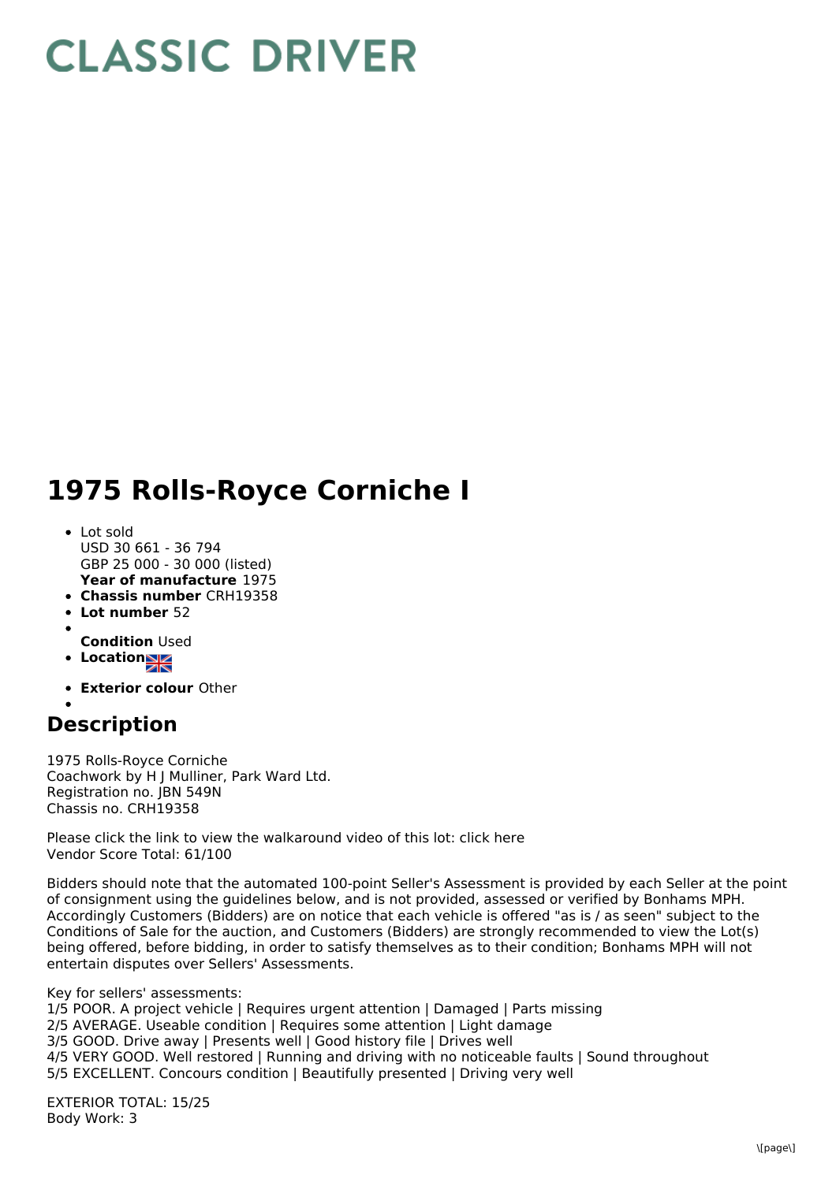## **CLASSIC DRIVER**

## **1975 Rolls-Royce Corniche I**

- **Year of manufacture** 1975 Lot sold USD 30 661 - 36 794 GBP 25 000 - 30 000 (listed)
- **Chassis number** CRH19358
- **Lot number** 52
- 
- **Condition** Used
- **Location**
- **Exterior colour** Other

## **Description**

1975 Rolls-Royce Corniche Coachwork by H J Mulliner, Park Ward Ltd. Registration no. JBN 549N Chassis no. CRH19358

Please click the link to view the walkaround video of this lot: click here Vendor Score Total: 61/100

Bidders should note that the automated 100-point Seller's Assessment is provided by each Seller at the point of consignment using the guidelines below, and is not provided, assessed or verified by Bonhams MPH. Accordingly Customers (Bidders) are on notice that each vehicle is offered "as is / as seen" subject to the Conditions of Sale for the auction, and Customers (Bidders) are strongly recommended to view the Lot(s) being offered, before bidding, in order to satisfy themselves as to their condition; Bonhams MPH will not entertain disputes over Sellers' Assessments.

Key for sellers' assessments:

1/5 POOR. A project vehicle | Requires urgent attention | Damaged | Parts missing

- 2/5 AVERAGE. Useable condition | Requires some attention | Light damage
- 3/5 GOOD. Drive away | Presents well | Good history file | Drives well
- 4/5 VERY GOOD. Well restored | Running and driving with no noticeable faults | Sound throughout

5/5 EXCELLENT. Concours condition | Beautifully presented | Driving very well

EXTERIOR TOTAL: 15/25 Body Work: 3